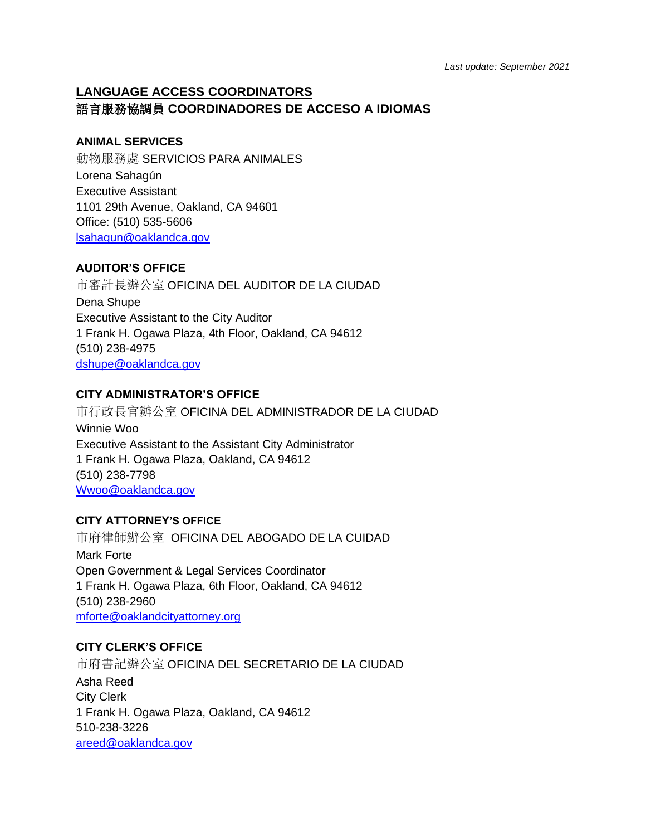# **LANGUAGE ACCESS COORDINATORS** 語言服務協調員 **COORDINADORES DE ACCESO A IDIOMAS**

# **ANIMAL SERVICES**

動物服務處 SERVICIOS PARA ANIMALES Lorena Sahagún Executive Assistant 1101 29th Avenue, Oakland, CA 94601 Office: (510) 535-5606 [lsahagun@oaklandca.gov](mailto:lsahagun@oaklandca.gov)

# **AUDITOR'S OFFICE**

市審計長辦公室 OFICINA DEL AUDITOR DE LA CIUDAD Dena Shupe Executive Assistant to the City Auditor 1 Frank H. Ogawa Plaza, 4th Floor, Oakland, CA 94612 (510) 238-4975 [dshupe@oaklandca.gov](mailto:dshupe@oaklandca.gov)

### **CITY ADMINISTRATOR'S OFFICE**

市行政長官辦公室 OFICINA DEL ADMINISTRADOR DE LA CIUDAD Winnie Woo Executive Assistant to the Assistant City Administrator 1 Frank H. Ogawa Plaza, Oakland, CA 94612 (510) 238-7798 [Wwoo@oaklandca.gov](mailto:Wwoo@oaklandca.gov)

### **CITY ATTORNEY'S OFFICE**

市府律師辦公室 OFICINA DEL ABOGADO DE LA CUIDAD Mark Forte Open Government & Legal Services Coordinator 1 Frank H. Ogawa Plaza, 6th Floor, Oakland, CA 94612 (510) 238-2960 [mforte@oaklandcityattorney.org](mailto:mforte@oaklandcityattorney.org)

### **CITY CLERK'S OFFICE**

市府書記辦公室 OFICINA DEL SECRETARIO DE LA CIUDAD Asha Reed City Clerk 1 Frank H. Ogawa Plaza, Oakland, CA 94612 510-238-3226 [areed@oaklandca.gov](mailto:areed@oaklandca.gov)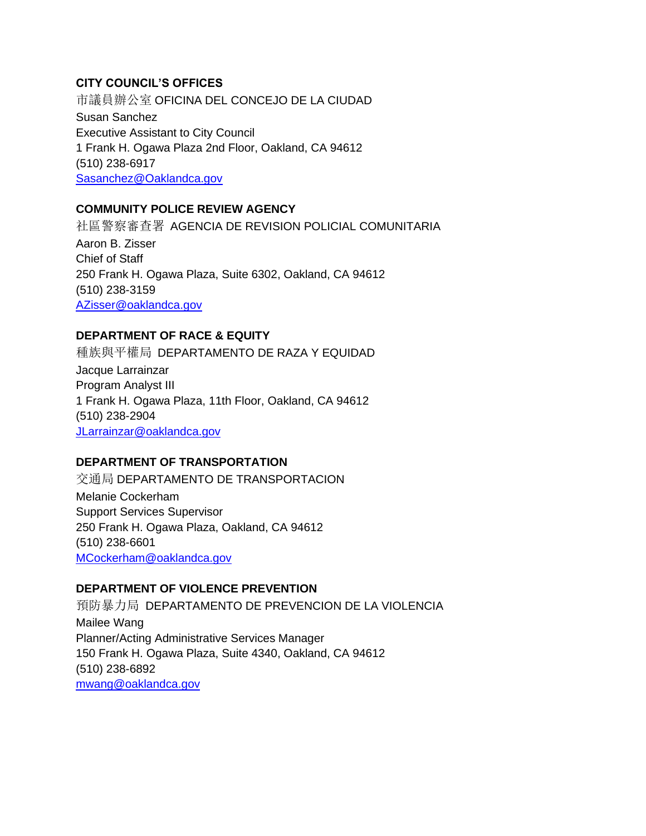### **CITY COUNCIL'S OFFICES**

市議員辦公室 OFICINA DEL CONCEJO DE LA CIUDAD Susan Sanchez Executive Assistant to City Council 1 Frank H. Ogawa Plaza 2nd Floor, Oakland, CA 94612 (510) 238-6917 [Sasanchez@Oaklandca.gov](mailto:Sasanchez@Oaklandca.gov)

# **COMMUNITY POLICE REVIEW AGENCY**

社區警察審查署 AGENCIA DE REVISION POLICIAL COMUNITARIA Aaron B. Zisser Chief of Staff 250 Frank H. Ogawa Plaza, Suite 6302, Oakland, CA 94612 (510) 238-3159 [AZisser@oaklandca.gov](mailto:AZisser@oaklandca.gov)

#### **DEPARTMENT OF RACE & EQUITY**

種族與平權局 DEPARTAMENTO DE RAZA Y EQUIDAD Jacque Larrainzar Program Analyst III 1 Frank H. Ogawa Plaza, 11th Floor, Oakland, CA 94612 (510) 238-2904 [JLarrainzar@oaklandca.gov](mailto:JLarrainzar@oaklandca.gov)

### **DEPARTMENT OF TRANSPORTATION**

交通局 DEPARTAMENTO DE TRANSPORTACION Melanie Cockerham Support Services Supervisor 250 Frank H. Ogawa Plaza, Oakland, CA 94612 (510) 238-6601 [MCockerham@oaklandca.gov](mailto:MCockerham@oaklandca.gov)

**DEPARTMENT OF VIOLENCE PREVENTION**

預防暴力局 DEPARTAMENTO DE PREVENCION DE LA VIOLENCIA Mailee Wang Planner/Acting Administrative Services Manager 150 Frank H. Ogawa Plaza, Suite 4340, Oakland, CA 94612 (510) 238-6892 [mwang@oaklandca.gov](mailto:mwang@oaklandca.gov)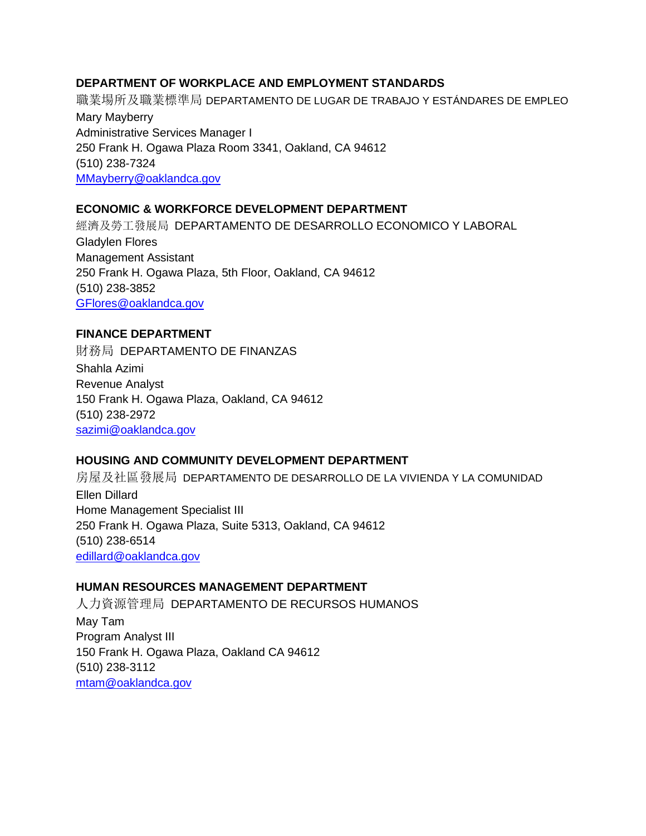### **DEPARTMENT OF WORKPLACE AND EMPLOYMENT STANDARDS**

職業場所及職業標準局 DEPARTAMENTO DE LUGAR DE TRABAJO Y ESTÁNDARES DE EMPLEO Mary Mayberry Administrative Services Manager I 250 Frank H. Ogawa Plaza Room 3341, Oakland, CA 94612 (510) 238-7324 [MMayberry@oaklandca.gov](mailto:MMayberry@oaklandca.gov)

# **ECONOMIC & WORKFORCE DEVELOPMENT DEPARTMENT**

經濟及勞工發展局 DEPARTAMENTO DE DESARROLLO ECONOMICO Y LABORAL Gladylen Flores Management Assistant 250 Frank H. Ogawa Plaza, 5th Floor, Oakland, CA 94612 (510) 238-3852 [GFlores@oaklandca.gov](mailto:GFlores@oaklandca.gov)

### **FINANCE DEPARTMENT**

財務局 DEPARTAMENTO DE FINANZAS Shahla Azimi Revenue Analyst 150 Frank H. Ogawa Plaza, Oakland, CA 94612 (510) 238-2972 [sazimi@oaklandca.gov](mailto:sazimi@oaklandca.gov)

# **HOUSING AND COMMUNITY DEVELOPMENT DEPARTMENT**

房屋及社區發展局 DEPARTAMENTO DE DESARROLLO DE LA VIVIENDA Y LA COMUNIDAD Ellen Dillard Home Management Specialist III 250 Frank H. Ogawa Plaza, Suite 5313, Oakland, CA 94612 (510) 238-6514 [edillard@oaklandca.gov](mailto:edillard@oaklandca.gov)

### **HUMAN RESOURCES MANAGEMENT DEPARTMENT**

人力資源管理局 DEPARTAMENTO DE RECURSOS HUMANOS May Tam Program Analyst III 150 Frank H. Ogawa Plaza, Oakland CA 94612 (510) 238-3112 [mtam@oaklandca.gov](mailto:mtam@oaklandca.gov)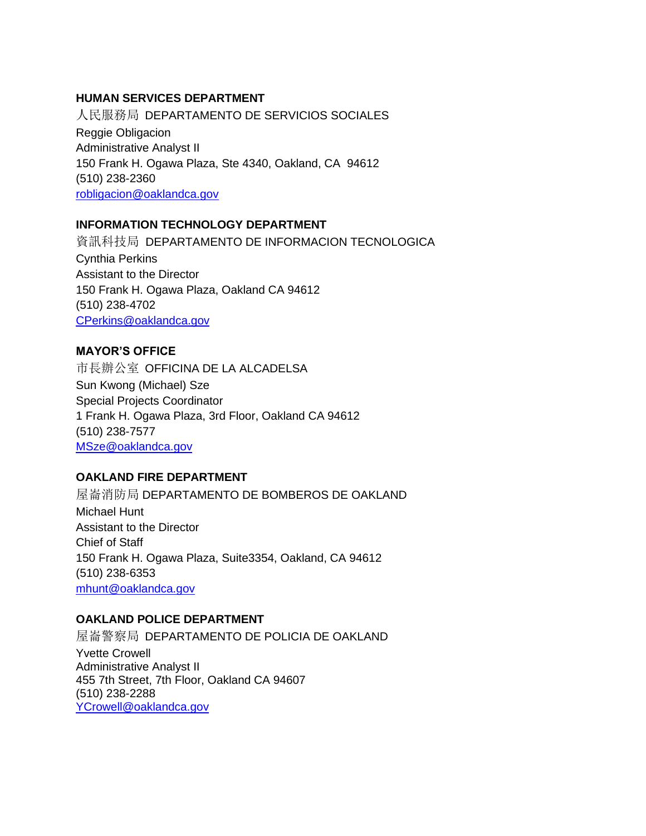### **HUMAN SERVICES DEPARTMENT**

人民服務局 DEPARTAMENTO DE SERVICIOS SOCIALES Reggie Obligacion Administrative Analyst II 150 Frank H. Ogawa Plaza, Ste 4340, Oakland, CA 94612 (510) 238-2360 [robligacion@oaklandca.gov](mailto:robligacion@oaklandca.gov)

### **INFORMATION TECHNOLOGY DEPARTMENT**

資訊科技局 DEPARTAMENTO DE INFORMACION TECNOLOGICA Cynthia Perkins Assistant to the Director 150 Frank H. Ogawa Plaza, Oakland CA 94612 (510) 238-4702 [CPerkins@oaklandca.gov](mailto:CPerkins@oaklandca.gov)

### **MAYOR'S OFFICE**

市長辦公室 OFFICINA DE LA ALCADELSA Sun Kwong (Michael) Sze Special Projects Coordinator 1 Frank H. Ogawa Plaza, 3rd Floor, Oakland CA 94612 (510) 238-7577 [MSze@oaklandca.gov](mailto:MSze@oaklandca.gov)

# **OAKLAND FIRE DEPARTMENT**

屋崙消防局 DEPARTAMENTO DE BOMBEROS DE OAKLAND Michael Hunt Assistant to the Director Chief of Staff 150 Frank H. Ogawa Plaza, Suite3354, Oakland, CA 94612 (510) 238-6353 [mhunt@oaklandca.gov](mailto:mhunt@oaklandca.gov)

### **OAKLAND POLICE DEPARTMENT**

屋崙警察局 DEPARTAMENTO DE POLICIA DE OAKLAND Yvette Crowell Administrative Analyst II 455 7th Street, 7th Floor, Oakland CA 94607 (510) 238-2288 [YCrowell@oaklandca.gov](mailto:YCrowell@oaklandca.gov)